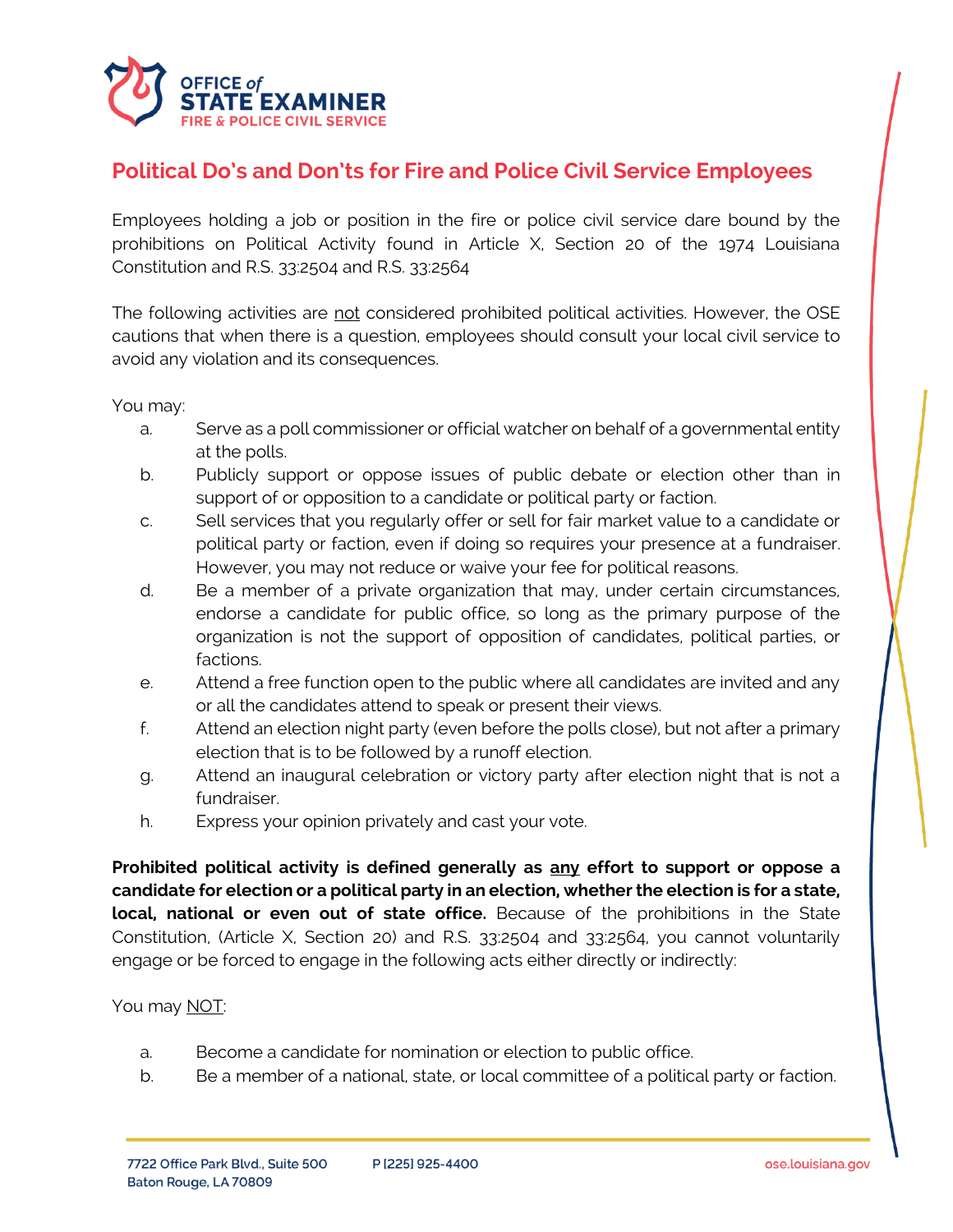

## **Political Do's and Don'ts for Fire and Police Civil Service Employees**

Employees holding a job or position in the fire or police civil service dare bound by the prohibitions on Political Activity found in Article X, Section 20 of the 1974 Louisiana Constitution and R.S. 33:2504 and R.S. 33:2564

The following activities are not considered prohibited political activities. However, the OSE cautions that when there is a question, employees should consult your local civil service to avoid any violation and its consequences.

You may:

- a. Serve as a poll commissioner or official watcher on behalf of a governmental entity at the polls.
- b. Publicly support or oppose issues of public debate or election other than in support of or opposition to a candidate or political party or faction.
- c. Sell services that you regularly offer or sell for fair market value to a candidate or political party or faction, even if doing so requires your presence at a fundraiser. However, you may not reduce or waive your fee for political reasons.
- d. Be a member of a private organization that may, under certain circumstances, endorse a candidate for public office, so long as the primary purpose of the organization is not the support of opposition of candidates, political parties, or factions.
- e. Attend a free function open to the public where all candidates are invited and any or all the candidates attend to speak or present their views.
- f. Attend an election night party (even before the polls close), but not after a primary election that is to be followed by a runoff election.
- g. Attend an inaugural celebration or victory party after election night that is not a fundraiser.
- h. Express your opinion privately and cast your vote.

**Prohibited political activity is defined generally as any effort to support or oppose a candidate for election or a political party in an election, whether the election is for a state, local, national or even out of state office.** Because of the prohibitions in the State Constitution, (Article X, Section 20) and R.S. 33:2504 and 33:2564, you cannot voluntarily engage or be forced to engage in the following acts either directly or indirectly:

## You may NOT:

- a. Become a candidate for nomination or election to public office.
- b. Be a member of a national, state, or local committee of a political party or faction.